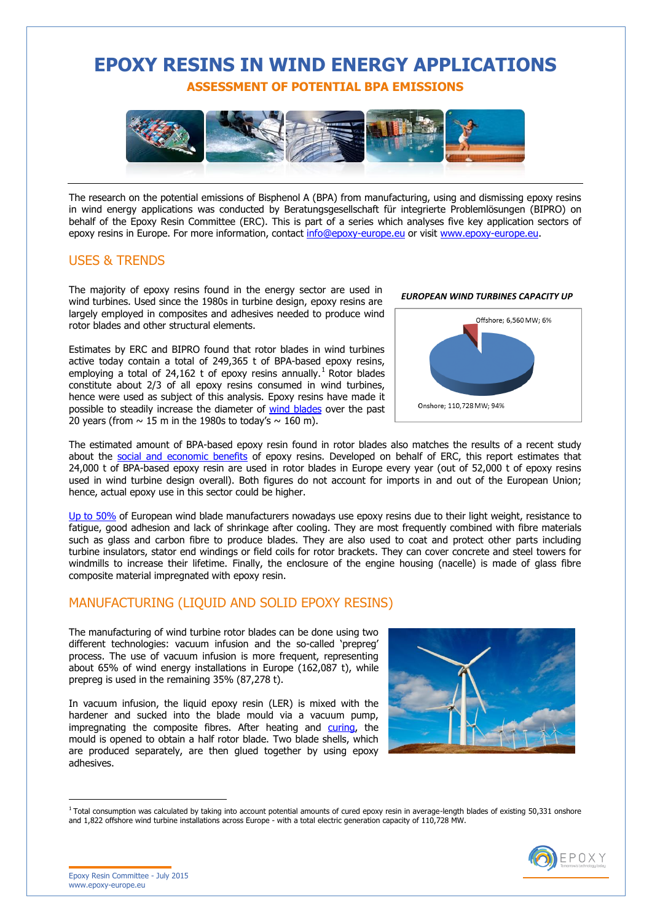# **EPOXY RESINS IN WIND ENERGY APPLICATIONS ASSESSMENT OF POTENTIAL BPA EMISSIONS**



The research on the potential emissions of Bisphenol A (BPA) from manufacturing, using and dismissing epoxy resins in wind energy applications was conducted by Beratungsgesellschaft für integrierte Problemlösungen (BIPRO) on behalf of the Epoxy Resin Committee (ERC). This is part of a series which analyses five key application sectors of epoxy resins in Europe. For more information, contact [info@epoxy-europe.eu](mailto:info@epoxy-europe.eu) or visit [www.epoxy-europe.eu.](http://www.epoxy-europe.eu/)

#### USES & TRENDS

The majority of epoxy resins found in the energy sector are used in wind turbines. Used since the 1980s in turbine design, epoxy resins are largely employed in composites and adhesives needed to produce wind rotor blades and other structural elements.

Estimates by ERC and BIPRO found that rotor blades in wind turbines active today contain a total of 249,365 t of BPA-based epoxy resins, employing a total of 24,162 t of epoxy resins annually.<sup>1</sup> Rotor blades constitute about 2/3 of all epoxy resins consumed in wind turbines, hence were used as subject of this analysis. Epoxy resins have made it possible to steadily increase the diameter of [wind blades](http://www.epoxy-europe.eu/en_GB/applications/energy) over the past 20 years (from  $\sim$  15 m in the 1980s to today's  $\sim$  160 m).



The estimated amount of BPA-based epoxy resin found in rotor blades also matches the results of a recent study about the [social and economic benefits](http://www.epoxy-europe.eu/en_GB/social-economic-benefits) of epoxy resins. Developed on behalf of ERC, this report estimates that 24,000 t of BPA-based epoxy resin are used in rotor blades in Europe every year (out of 52,000 t of epoxy resins used in wind turbine design overall). Both figures do not account for imports in and out of the European Union; hence, actual epoxy use in this sector could be higher.

[Up to 50%](http://www.epoxy-europe.eu/en_GB/applications/energy) of European wind blade manufacturers nowadays use epoxy resins due to their light weight, resistance to fatigue, good adhesion and lack of shrinkage after cooling. They are most frequently combined with fibre materials such as glass and carbon fibre to produce blades. They are also used to coat and protect other parts including turbine insulators, stator end windings or field coils for rotor brackets. They can cover concrete and steel towers for windmills to increase their lifetime. Finally, the enclosure of the engine housing (nacelle) is made of glass fibre composite material impregnated with epoxy resin.

### MANUFACTURING (LIQUID AND SOLID EPOXY RESINS)

The manufacturing of wind turbine rotor blades can be done using two different technologies: vacuum infusion and the so-called 'prepreg' process. The use of vacuum infusion is more frequent, representing about 65% of wind energy installations in Europe (162,087 t), while prepreg is used in the remaining 35% (87,278 t).

In vacuum infusion, the liquid epoxy resin (LER) is mixed with the hardener and sucked into the blade mould via a vacuum pump, impregnating the composite fibres. After heating and [curing,](http://www.epoxy-europe.eu/glossary/1/45/Curing) the mould is opened to obtain a half rotor blade. Two blade shells, which are produced separately, are then glued together by using epoxy adhesives.



 $1$  Total consumption was calculated by taking into account potential amounts of cured epoxy resin in average-length blades of existing 50.331 onshore and 1,822 offshore wind turbine installations across Europe - with a total electric generation capacity of 110,728 MW.



Epoxy Resin Committee - July 2015 [www.epoxy-europe.eu](http://www.epoxy-europe.eu/)

 $\overline{a}$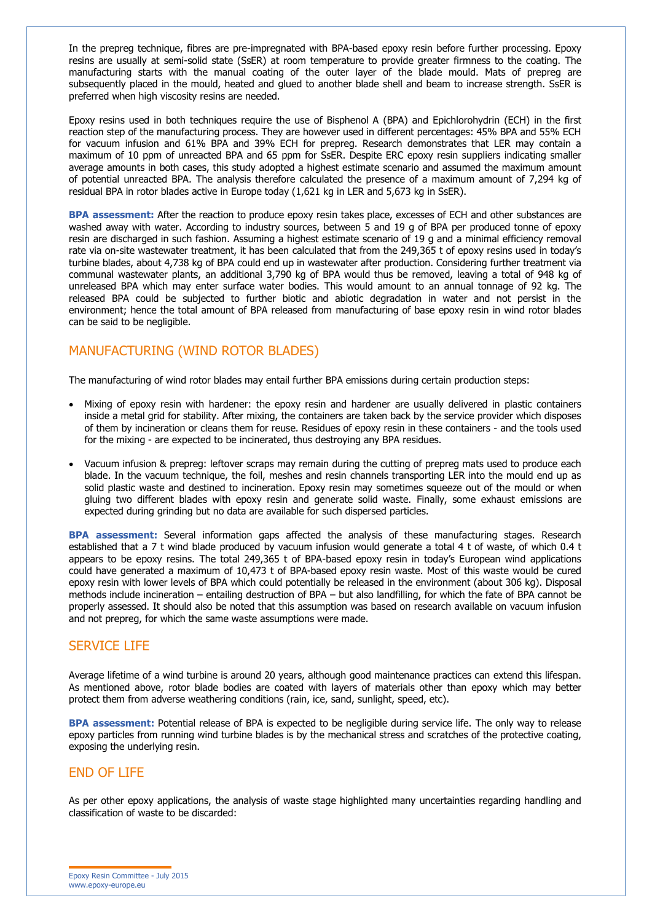In the prepreg technique, fibres are pre-impregnated with BPA-based epoxy resin before further processing. Epoxy resins are usually at semi-solid state (SsER) at room temperature to provide greater firmness to the coating. The manufacturing starts with the manual coating of the outer layer of the blade mould. Mats of prepreg are subsequently placed in the mould, heated and glued to another blade shell and beam to increase strength. SsER is preferred when high viscosity resins are needed.

Epoxy resins used in both techniques require the use of Bisphenol A (BPA) and Epichlorohydrin (ECH) in the first reaction step of the manufacturing process. They are however used in different percentages: 45% BPA and 55% ECH for vacuum infusion and 61% BPA and 39% ECH for prepreg. Research demonstrates that LER may contain a maximum of 10 ppm of unreacted BPA and 65 ppm for SsER. Despite ERC epoxy resin suppliers indicating smaller average amounts in both cases, this study adopted a highest estimate scenario and assumed the maximum amount of potential unreacted BPA. The analysis therefore calculated the presence of a maximum amount of 7,294 kg of residual BPA in rotor blades active in Europe today (1,621 kg in LER and 5,673 kg in SsER).

**BPA assessment:** After the reaction to produce epoxy resin takes place, excesses of ECH and other substances are washed away with water. According to industry sources, between 5 and 19 g of BPA per produced tonne of epoxy resin are discharged in such fashion. Assuming a highest estimate scenario of 19 g and a minimal efficiency removal rate via on-site wastewater treatment, it has been calculated that from the 249,365 t of epoxy resins used in today's turbine blades, about 4,738 kg of BPA could end up in wastewater after production. Considering further treatment via communal wastewater plants, an additional 3,790 kg of BPA would thus be removed, leaving a total of 948 kg of unreleased BPA which may enter surface water bodies. This would amount to an annual tonnage of 92 kg. The released BPA could be subjected to further biotic and abiotic degradation in water and not persist in the environment; hence the total amount of BPA released from manufacturing of base epoxy resin in wind rotor blades can be said to be negligible.

# MANUFACTURING (WIND ROTOR BLADES)

The manufacturing of wind rotor blades may entail further BPA emissions during certain production steps:

- Mixing of epoxy resin with hardener: the epoxy resin and hardener are usually delivered in plastic containers inside a metal grid for stability. After mixing, the containers are taken back by the service provider which disposes of them by incineration or cleans them for reuse. Residues of epoxy resin in these containers - and the tools used for the mixing - are expected to be incinerated, thus destroying any BPA residues.
- Vacuum infusion & prepreg: leftover scraps may remain during the cutting of prepreg mats used to produce each blade. In the vacuum technique, the foil, meshes and resin channels transporting LER into the mould end up as solid plastic waste and destined to incineration. Epoxy resin may sometimes squeeze out of the mould or when gluing two different blades with epoxy resin and generate solid waste. Finally, some exhaust emissions are expected during grinding but no data are available for such dispersed particles.

**BPA assessment:** Several information gaps affected the analysis of these manufacturing stages. Research established that a 7 t wind blade produced by vacuum infusion would generate a total 4 t of waste, of which 0.4 t appears to be epoxy resins. The total 249,365 t of BPA-based epoxy resin in today's European wind applications could have generated a maximum of 10,473 t of BPA-based epoxy resin waste. Most of this waste would be cured epoxy resin with lower levels of BPA which could potentially be released in the environment (about 306 kg). Disposal methods include incineration – entailing destruction of BPA – but also landfilling, for which the fate of BPA cannot be properly assessed. It should also be noted that this assumption was based on research available on vacuum infusion and not prepreg, for which the same waste assumptions were made.

### SERVICE LIFE

Average lifetime of a wind turbine is around 20 years, although good maintenance practices can extend this lifespan. As mentioned above, rotor blade bodies are coated with layers of materials other than epoxy which may better protect them from adverse weathering conditions (rain, ice, sand, sunlight, speed, etc).

**BPA assessment:** Potential release of BPA is expected to be negligible during service life. The only way to release epoxy particles from running wind turbine blades is by the mechanical stress and scratches of the protective coating, exposing the underlying resin.

### END OF LIFE

As per other epoxy applications, the analysis of waste stage highlighted many uncertainties regarding handling and classification of waste to be discarded: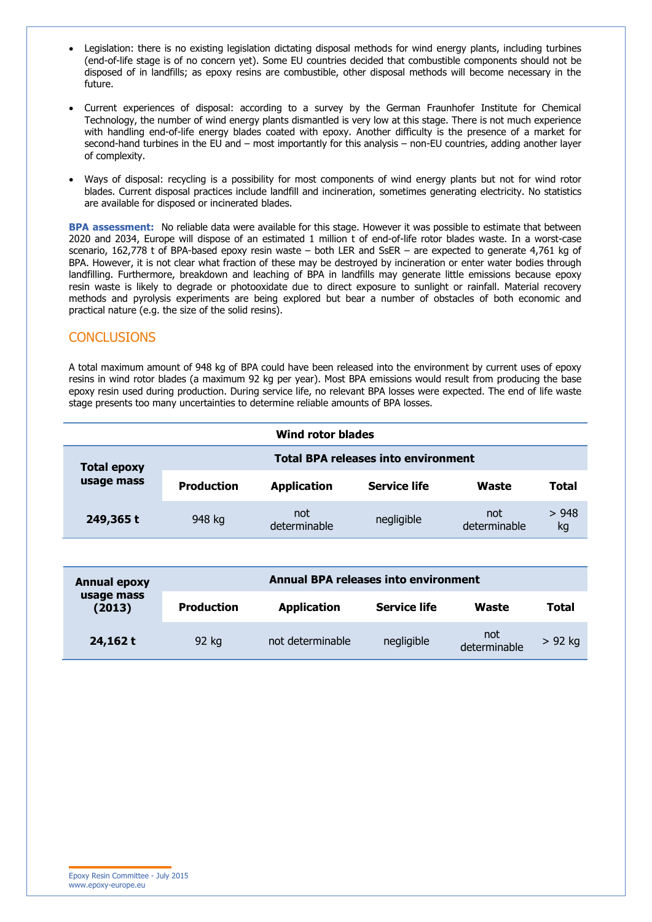- Legislation: there is no existing legislation dictating disposal methods for wind energy plants, including turbines (end-of-life stage is of no concern yet). Some EU countries decided that combustible components should not be disposed of in landfills; as epoxy resins are combustible, other disposal methods will become necessary in the future.
- Current experiences of disposal: according to a survey by the German Fraunhofer Institute for Chemical Technology, the number of wind energy plants dismantled is very low at this stage. There is not much experience with handling end-of-life energy blades coated with epoxy. Another difficulty is the presence of a market for second-hand turbines in the EU and – most importantly for this analysis – non-EU countries, adding another layer of complexity.
- Ways of disposal: recycling is a possibility for most components of wind energy plants but not for wind rotor blades. Current disposal practices include landfill and incineration, sometimes generating electricity. No statistics are available for disposed or incinerated blades.

**BPA assessment:** No reliable data were available for this stage. However it was possible to estimate that between 2020 and 2034, Europe will dispose of an estimated 1 million t of end-of-life rotor blades waste. In a worst-case scenario, 162,778 t of BPA-based epoxy resin waste – both LER and SsER – are expected to generate 4,761 kg of BPA. However, it is not clear what fraction of these may be destroyed by incineration or enter water bodies through landfilling. Furthermore, breakdown and leaching of BPA in landfills may generate little emissions because epoxy resin waste is likely to degrade or photooxidate due to direct exposure to sunlight or rainfall. Material recovery methods and pyrolysis experiments are being explored but bear a number of obstacles of both economic and practical nature (e.g. the size of the solid resins).

#### **CONCLUSIONS**

A total maximum amount of 948 kg of BPA could have been released into the environment by current uses of epoxy resins in wind rotor blades (a maximum 92 kg per year). Most BPA emissions would result from producing the base epoxy resin used during production. During service life, no relevant BPA losses were expected. The end of life waste stage presents too many uncertainties to determine reliable amounts of BPA losses.

| Wind rotor blades                |                                            |                     |                     |                     |            |  |  |  |  |
|----------------------------------|--------------------------------------------|---------------------|---------------------|---------------------|------------|--|--|--|--|
| <b>Total epoxy</b><br>usage mass | <b>Total BPA releases into environment</b> |                     |                     |                     |            |  |  |  |  |
|                                  | <b>Production</b>                          | <b>Application</b>  | <b>Service life</b> | Waste               | Total      |  |  |  |  |
| 249,365 t                        | 948 kg                                     | not<br>determinable | negligible          | not<br>determinable | >948<br>kg |  |  |  |  |

| <b>Annual epoxy</b><br>usage mass<br>(2013) | <b>Annual BPA releases into environment</b> |                    |                     |                     |           |  |
|---------------------------------------------|---------------------------------------------|--------------------|---------------------|---------------------|-----------|--|
|                                             | <b>Production</b>                           | <b>Application</b> | <b>Service life</b> | Waste               | Total     |  |
| 24,162 t                                    | 92 kg                                       | not determinable   | negligible          | not<br>determinable | $> 92$ kg |  |